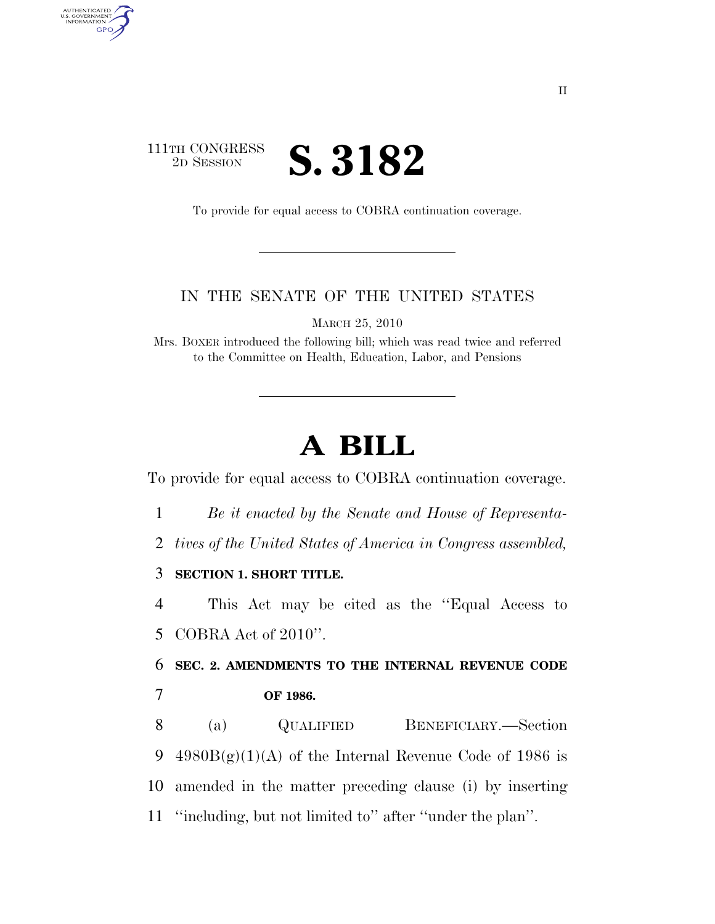## 111TH CONGRESS <sup>2D SESSION</sup> **S. 3182**

AUTHENTICATED<br>U.S. GOVERNMENT<br>INFORMATION GPO

To provide for equal access to COBRA continuation coverage.

## IN THE SENATE OF THE UNITED STATES

MARCH 25, 2010

Mrs. BOXER introduced the following bill; which was read twice and referred to the Committee on Health, Education, Labor, and Pensions

## **A BILL**

To provide for equal access to COBRA continuation coverage.

1 *Be it enacted by the Senate and House of Representa-*

2 *tives of the United States of America in Congress assembled,* 

3 **SECTION 1. SHORT TITLE.** 

4 This Act may be cited as the ''Equal Access to 5 COBRA Act of 2010''.

6 **SEC. 2. AMENDMENTS TO THE INTERNAL REVENUE CODE**  7 **OF 1986.** 

 (a) QUALIFIED BENEFICIARY.—Section 9 4980 $B(g)(1)(A)$  of the Internal Revenue Code of 1986 is amended in the matter preceding clause (i) by inserting ''including, but not limited to'' after ''under the plan''.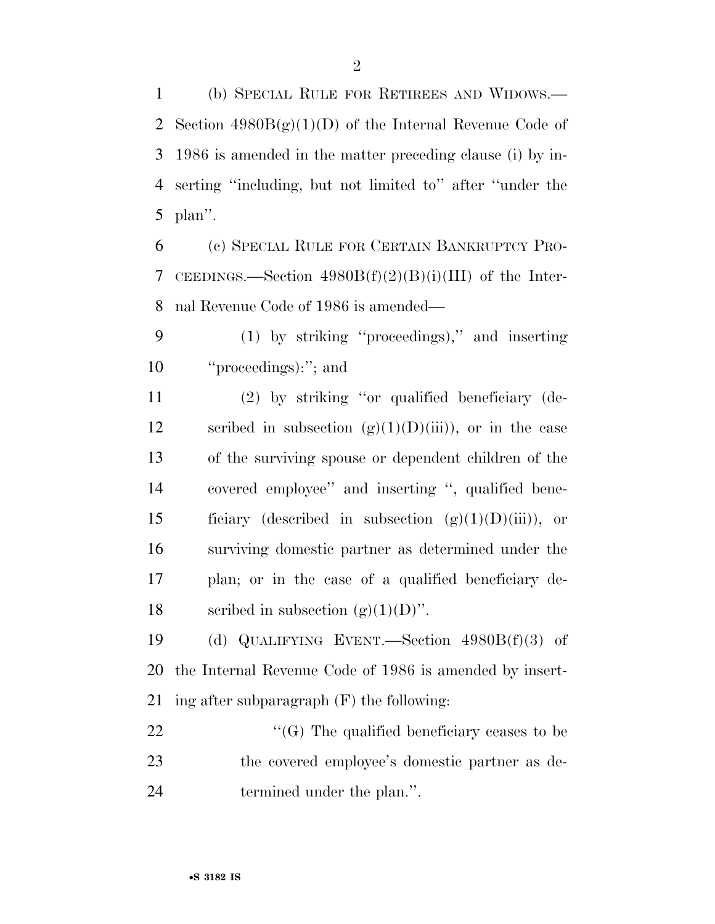(b) SPECIAL RULE FOR RETIREES AND WIDOWS.— 2 Section  $4980B(g)(1)(D)$  of the Internal Revenue Code of 1986 is amended in the matter preceding clause (i) by in- serting ''including, but not limited to'' after ''under the plan''.

 (c) SPECIAL RULE FOR CERTAIN BANKRUPTCY PRO- CEEDINGS.—Section 4980B(f)(2)(B)(i)(III) of the Inter-nal Revenue Code of 1986 is amended—

 (1) by striking ''proceedings),'' and inserting ''proceedings):''; and

 (2) by striking ''or qualified beneficiary (de-12 scribed in subsection  $(g)(1)(D)(iii)$ , or in the case of the surviving spouse or dependent children of the covered employee'' and inserting '', qualified bene-15 ficiary (described in subsection  $(g)(1)(D)(iii)$ ), or surviving domestic partner as determined under the plan; or in the case of a qualified beneficiary de-18 seribed in subsection  $(g)(1)(D)$ ".

 (d) QUALIFYING EVENT.—Section 4980B(f)(3) of the Internal Revenue Code of 1986 is amended by insert-ing after subparagraph (F) the following:

22  $\langle G \rangle$  The qualified beneficiary ceases to be the covered employee's domestic partner as de-24 termined under the plan.".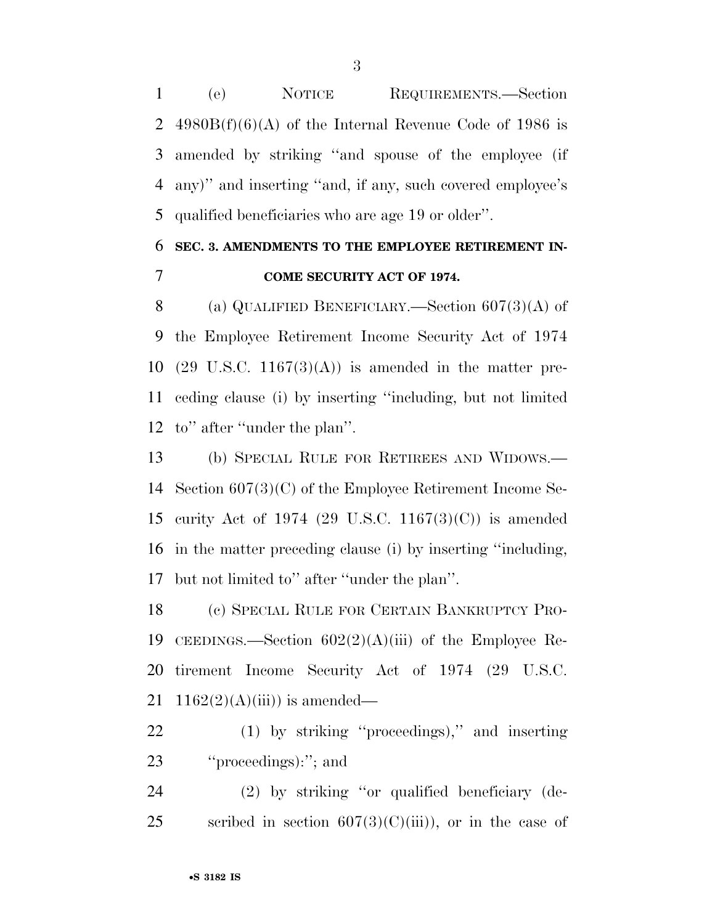(e) NOTICE REQUIREMENTS.—Section 2 4980B $(f)(6)(A)$  of the Internal Revenue Code of 1986 is amended by striking ''and spouse of the employee (if any)'' and inserting ''and, if any, such covered employee's qualified beneficiaries who are age 19 or older''.

## **SEC. 3. AMENDMENTS TO THE EMPLOYEE RETIREMENT IN-COME SECURITY ACT OF 1974.**

8 (a) QUALIFIED BENEFICIARY.—Section 607(3)(A) of the Employee Retirement Income Security Act of 1974 10 (29 U.S.C. 1167 $(3)(A)$ ) is amended in the matter pre- ceding clause (i) by inserting ''including, but not limited to'' after ''under the plan''.

 (b) SPECIAL RULE FOR RETIREES AND WIDOWS.— Section 607(3)(C) of the Employee Retirement Income Se- curity Act of 1974 (29 U.S.C. 1167(3)(C)) is amended in the matter preceding clause (i) by inserting ''including, but not limited to'' after ''under the plan''.

 (c) SPECIAL RULE FOR CERTAIN BANKRUPTCY PRO- CEEDINGS.—Section 602(2)(A)(iii) of the Employee Re- tirement Income Security Act of 1974 (29 U.S.C. 21 1162 $(2)(A)(iii)$  is amended—

 (1) by striking ''proceedings),'' and inserting ''proceedings):''; and

 (2) by striking ''or qualified beneficiary (de-25 scribed in section  $607(3)(C)(iii)$ , or in the case of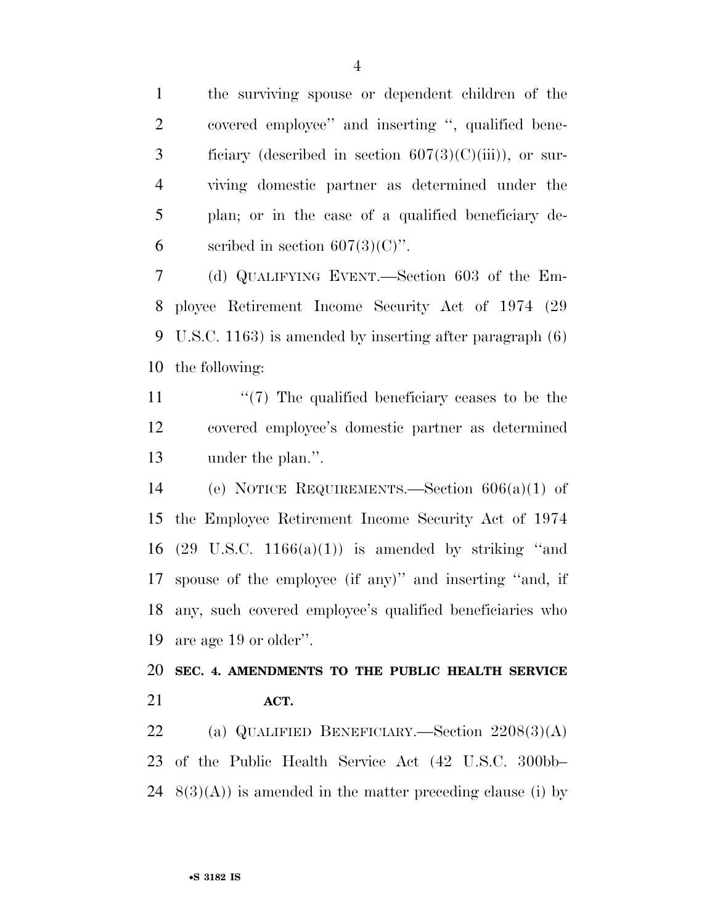the surviving spouse or dependent children of the covered employee'' and inserting '', qualified bene-3 ficiary (described in section  $607(3)(C)(iii)$ ), or sur- viving domestic partner as determined under the plan; or in the case of a qualified beneficiary de-6 seribed in section  $607(3)(C)$ ".

 (d) QUALIFYING EVENT.—Section 603 of the Em- ployee Retirement Income Security Act of 1974 (29 U.S.C. 1163) is amended by inserting after paragraph (6) the following:

11  $\frac{1}{2}$  The qualified beneficiary ceases to be the covered employee's domestic partner as determined under the plan.''.

 (e) NOTICE REQUIREMENTS.—Section 606(a)(1) of the Employee Retirement Income Security Act of 1974 16 (29 U.S.C. 1166(a)(1)) is amended by striking "and spouse of the employee (if any)'' and inserting ''and, if any, such covered employee's qualified beneficiaries who are age 19 or older''.

 **SEC. 4. AMENDMENTS TO THE PUBLIC HEALTH SERVICE ACT.** 

 (a) QUALIFIED BENEFICIARY.—Section 2208(3)(A) of the Public Health Service Act (42 U.S.C. 300bb– 24  $8(3)(A)$  is amended in the matter preceding clause (i) by